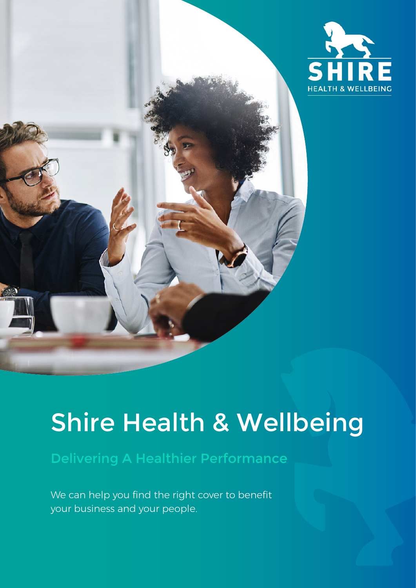

### Shire Health & Wellbeing

Delivering A Healthier Performance

We can help you find the right cover to benefit your business and your people.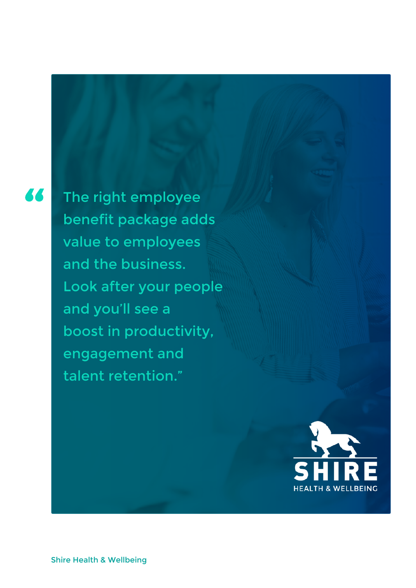### 77

The right employee benefit package adds value to employees and the business. Look after your people and you'll see a boost in productivity, engagement and talent retention."

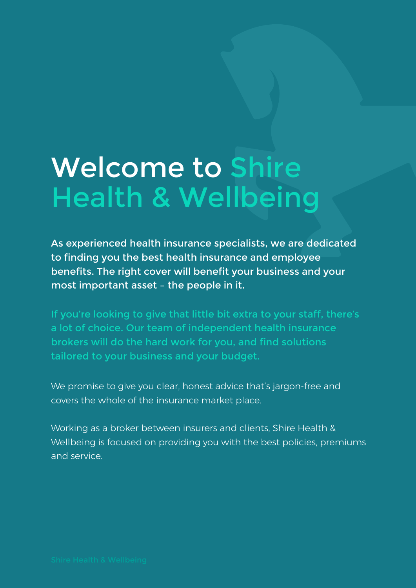# Welcome to Shire Health & Wellbeing

As experienced health insurance specialists, we are dedicated to finding you the best health insurance and employee benefits. The right cover will benefit your business and your most important asset – the people in it.

If you're looking to give that little bit extra to your staff, there's a lot of choice. Our team of independent health insurance brokers will do the hard work for you, and find solutions tailored to your business and your budget.

We promise to give you clear, honest advice that's jargon-free and covers the whole of the insurance market place.

Working as a broker between insurers and clients, Shire Health & Wellbeing is focused on providing you with the best policies, premiums and service.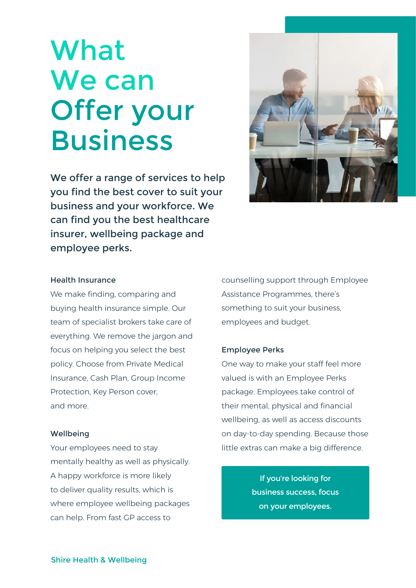## What We can Offer your **Business**

We offer a range of services to help you find the best cover to suit your business and your workforce. We can find you the best healthcare insurer, wellbeing package and employee perks.



#### Health Insurance

We make finding, comparing and buying health insurance simple. Our team of specialist brokers take care of everything. We remove the jargon and focus on helping you select the best policy. Choose from Private Medical Insurance, Cash Plan, Group Income Protection, Key Person cover, and more.

#### **Wellbeing**

Your employees need to stay mentally healthy as well as physically. A happy workforce is more likely to deliver quality results, which is where employee wellbeing packages can help. From fast GP access to

counselling support through Employee Assistance Programmes, there's something to suit your business, employees and budget.

#### Employee Perks

One way to make your staff feel more valued is with an Employee Perks package. Employees take control of their mental, physical and financial wellbeing, as well as access discounts on day-to-day spending. Because those little extras can make a big difference.

> If you're looking for business success, focus on your employees.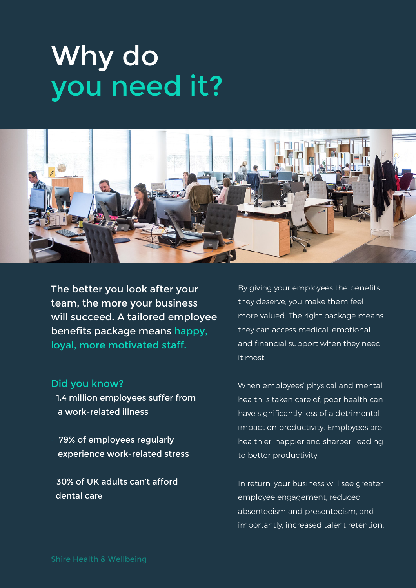### Why do you need it?



The better you look after your team, the more your business will succeed. A tailored employee benefits package means happy, loyal, more motivated staff.

#### Did you know?

- 1.4 million employees suffer from a work-related illness
- 79% of employees regularly experience work-related stress
- 30% of UK adults can't afford dental care

By giving your employees the benefits they deserve, you make them feel more valued. The right package means they can access medical, emotional and financial support when they need it most.

When employees' physical and mental health is taken care of, poor health can have significantly less of a detrimental impact on productivity. Employees are healthier, happier and sharper, leading to better productivity.

In return, your business will see greater employee engagement, reduced absenteeism and presenteeism, and importantly, increased talent retention.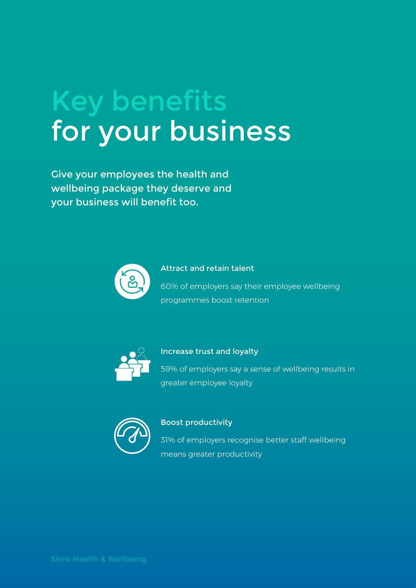## Key benefits for your business

Give your employees the health and wellbeing package they deserve and your business will benefit too.



### 60% of employers say their employee wellbeing programmes boost retention Attract and retain talent



#### Increase trust and loyalty

59% of employers say a sense of wellbeing results in greater employee loyalty



#### Boost productivity

31% of employers recognise better staff wellbeing means greater productivity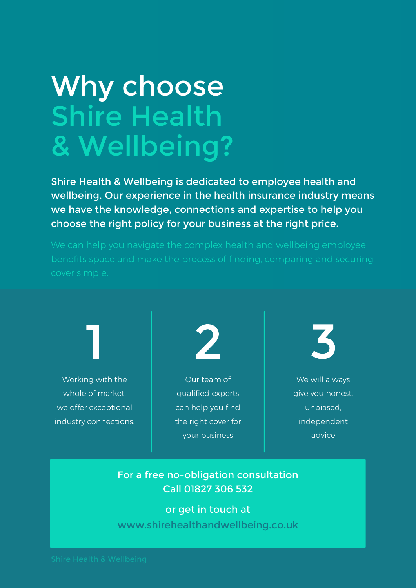## Why choose Shire Health & Wellbeing?

Shire Health & Wellbeing is dedicated to employee health and wellbeing. Our experience in the health insurance industry means we have the knowledge, connections and expertise to help you choose the right policy for your business at the right price.

Working with the whole of market, we offer exceptional industry connections.



Our team of qualified experts can help you find the right cover for your business



We will always give you honest, unbiased, independent advice

### For a free no-obligation consultation Call 01827 306 532

### or get in touch at

www.shirehealthandwellbeing.co.uk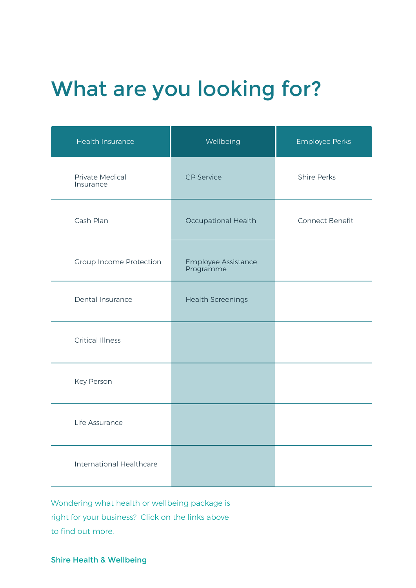### What are you looking for?

| Health Insurance             | Wellbeing                        | <b>Employee Perks</b> |
|------------------------------|----------------------------------|-----------------------|
| Private Medical<br>Insurance | <b>GP</b> Service                | <b>Shire Perks</b>    |
| Cash Plan                    | Occupational Health              | Connect Benefit       |
| Group Income Protection      | Employee Assistance<br>Programme |                       |
| Dental Insurance             | <b>Health Screenings</b>         |                       |
| <b>Critical Illness</b>      |                                  |                       |
| Key Person                   |                                  |                       |
| Life Assurance               |                                  |                       |
| International Healthcare     |                                  |                       |

Wondering what health or wellbeing package is right for your business? Click on the links above to find out more.

Shire Health & Wellbeing